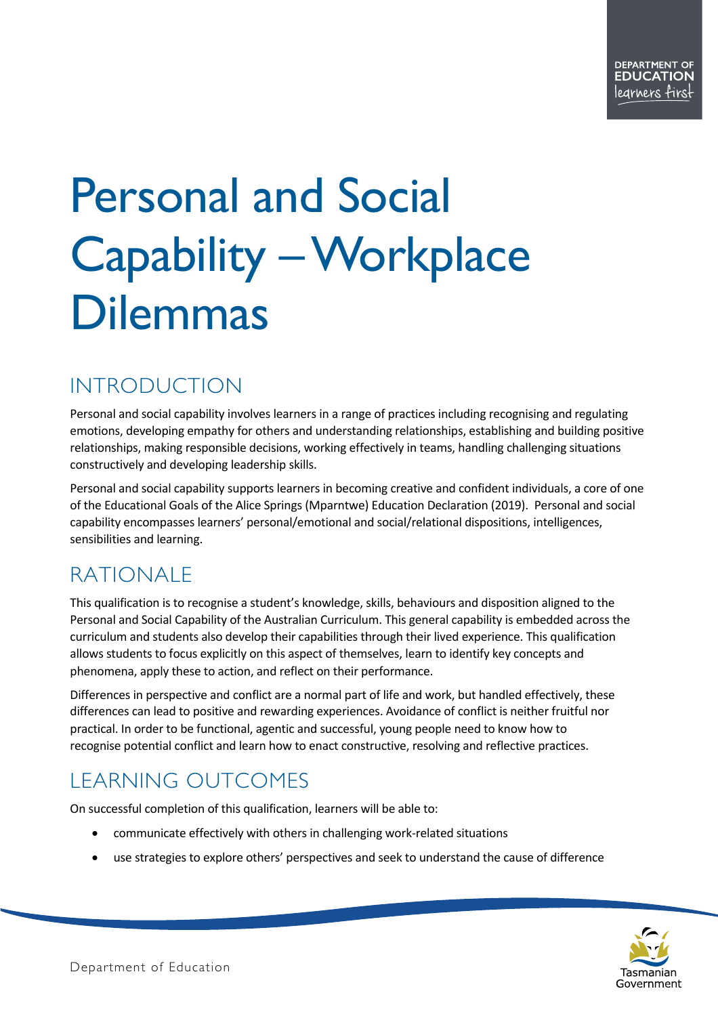# Personal and Social Capability –Workplace Dilemmas

# INTRODUCTION

Personal and social capability involves learners in a range of practices including recognising and regulating emotions, developing empathy for others and understanding relationships, establishing and building positive relationships, making responsible decisions, working effectively in teams, handling challenging situations constructively and developing leadership skills.

Personal and social capability supports learners in becoming creative and confident individuals, a core of one of the Educational Goals of the Alice Springs (Mparntwe) Education Declaration (2019). Personal and social capability encompasses learners' personal/emotional and social/relational dispositions, intelligences, sensibilities and learning.

# RATIONALE

This qualification is to recognise a student's knowledge, skills, behaviours and disposition aligned to the Personal and Social Capability of the Australian Curriculum. This general capability is embedded across the curriculum and students also develop their capabilities through their lived experience. This qualification allows students to focus explicitly on this aspect of themselves, learn to identify key concepts and phenomena, apply these to action, and reflect on their performance.

Differences in perspective and conflict are a normal part of life and work, but handled effectively, these differences can lead to positive and rewarding experiences. Avoidance of conflict is neither fruitful nor practical. In order to be functional, agentic and successful, young people need to know how to recognise potential conflict and learn how to enact constructive, resolving and reflective practices.

# LEARNING OUTCOMES

On successful completion of this qualification, learners will be able to:

- communicate effectively with others in challenging work-related situations
- use strategies to explore others' perspectives and seek to understand the cause of difference

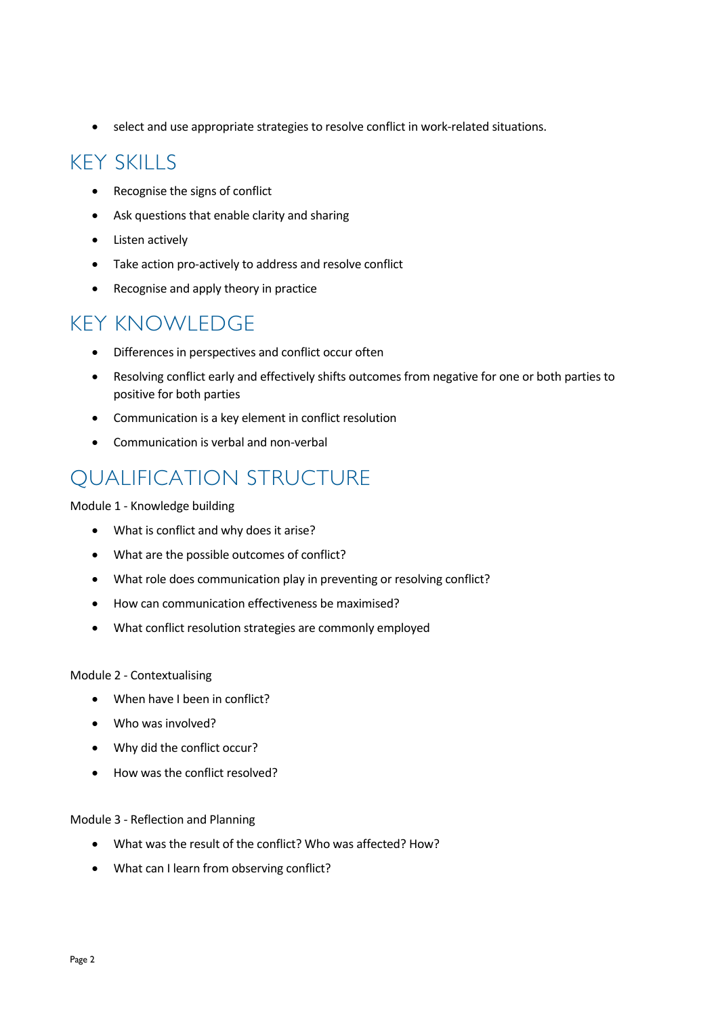• select and use appropriate strategies to resolve conflict in work-related situations.

## KEY SKILLS

- Recognise the signs of conflict
- Ask questions that enable clarity and sharing
- Listen actively
- Take action pro-actively to address and resolve conflict
- Recognise and apply theory in practice

### KEY KNOWLEDGE

- Differences in perspectives and conflict occur often
- Resolving conflict early and effectively shifts outcomes from negative for one or both parties to positive for both parties
- Communication is a key element in conflict resolution
- Communication is verbal and non-verbal

### QUALIFICATION STRUCTURE

#### Module 1 - Knowledge building

- What is conflict and why does it arise?
- What are the possible outcomes of conflict?
- What role does communication play in preventing or resolving conflict?
- How can communication effectiveness be maximised?
- What conflict resolution strategies are commonly employed

#### Module 2 - Contextualising

- When have I been in conflict?
- Who was involved?
- Why did the conflict occur?
- How was the conflict resolved?

#### Module 3 - Reflection and Planning

- What was the result of the conflict? Who was affected? How?
- What can I learn from observing conflict?